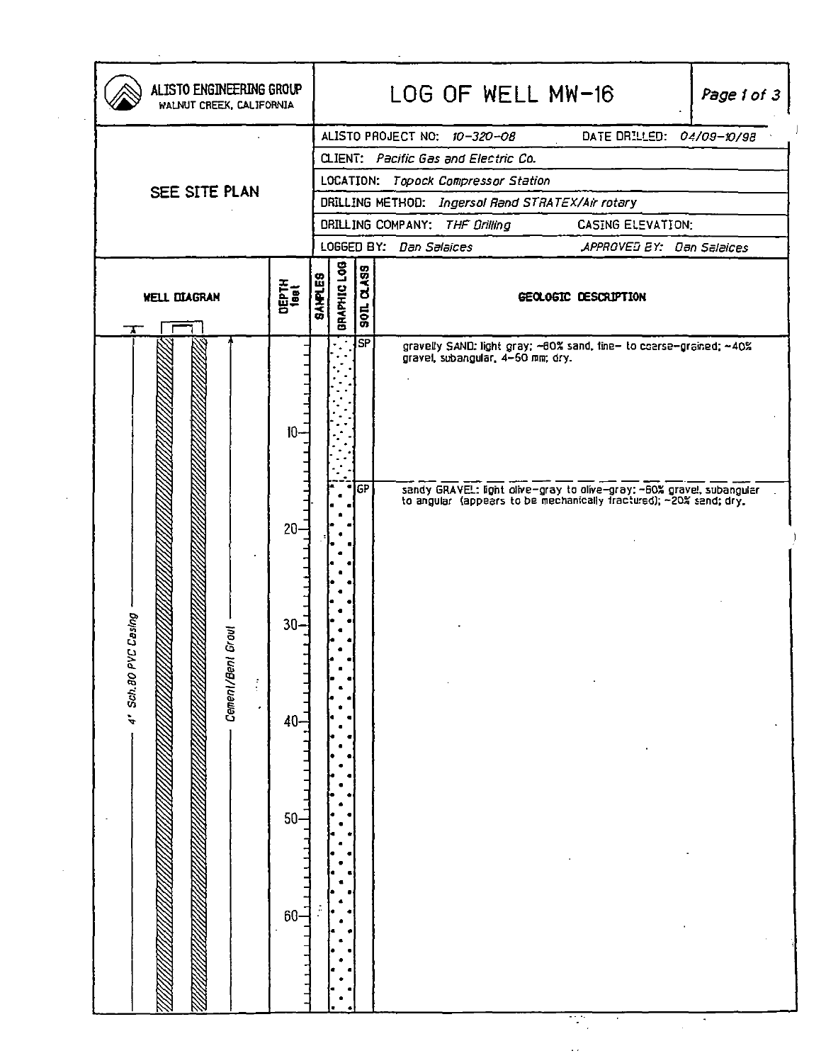| ALISTO PROJECT NO: 10-320-08<br>DATE DRILLED: 04/09-10/98<br>CLIENT: Pacific Gas and Electric Co.<br>LOCATION: Topock Compressor Station<br>SEE SITE PLAN<br>DRILLING METHOD: Ingersal Rand STRATEX/Air rotary<br>CASING ELEVATION:<br>DRILLING COMPANY: THE Drilling<br>LOGGED BY: Dan Salaices<br>APPROVED EY: Dan Salaices<br>BRAPHIC LOG<br><b>QASS</b><br><b>SANPLES</b><br><b>DEPTH</b><br><sup>1881</sup><br><b>WELL DIAGRAN</b><br>GEOLOGIC DESCRIPTION<br>$ \mathsf{SP} $<br>gravelly SAND: light gray; ~60% sand, fine- to coerse-grained; ~40%<br>gravel, subangular, 4-50 mm; dry.<br>10<br>IGP<br>sandy GRAVEL: light olive-gray to olive-gray: ~60% gravel, subangular to angular (appears to be mechanically fractured); ~20% sand; dry.<br>20 <sub>1</sub><br>sing<br>$30-$<br>4' Sch.80 PVC Ca<br>Ø<br>W.<br>Cement/Bent Grou<br>$\frac{1}{3}$<br>$\epsilon$<br>40<br>$50 -$<br>$60 -$ | ALISTO ENGINEERING GROUP<br>WALNUT CREEK, CALIFORNIA | LOG OF WELL MW-16<br>Page 1 of 3 |
|---------------------------------------------------------------------------------------------------------------------------------------------------------------------------------------------------------------------------------------------------------------------------------------------------------------------------------------------------------------------------------------------------------------------------------------------------------------------------------------------------------------------------------------------------------------------------------------------------------------------------------------------------------------------------------------------------------------------------------------------------------------------------------------------------------------------------------------------------------------------------------------------------------|------------------------------------------------------|----------------------------------|
|                                                                                                                                                                                                                                                                                                                                                                                                                                                                                                                                                                                                                                                                                                                                                                                                                                                                                                         |                                                      |                                  |
|                                                                                                                                                                                                                                                                                                                                                                                                                                                                                                                                                                                                                                                                                                                                                                                                                                                                                                         |                                                      |                                  |
|                                                                                                                                                                                                                                                                                                                                                                                                                                                                                                                                                                                                                                                                                                                                                                                                                                                                                                         |                                                      |                                  |
|                                                                                                                                                                                                                                                                                                                                                                                                                                                                                                                                                                                                                                                                                                                                                                                                                                                                                                         |                                                      |                                  |
|                                                                                                                                                                                                                                                                                                                                                                                                                                                                                                                                                                                                                                                                                                                                                                                                                                                                                                         |                                                      |                                  |
|                                                                                                                                                                                                                                                                                                                                                                                                                                                                                                                                                                                                                                                                                                                                                                                                                                                                                                         |                                                      |                                  |
|                                                                                                                                                                                                                                                                                                                                                                                                                                                                                                                                                                                                                                                                                                                                                                                                                                                                                                         |                                                      |                                  |
|                                                                                                                                                                                                                                                                                                                                                                                                                                                                                                                                                                                                                                                                                                                                                                                                                                                                                                         |                                                      |                                  |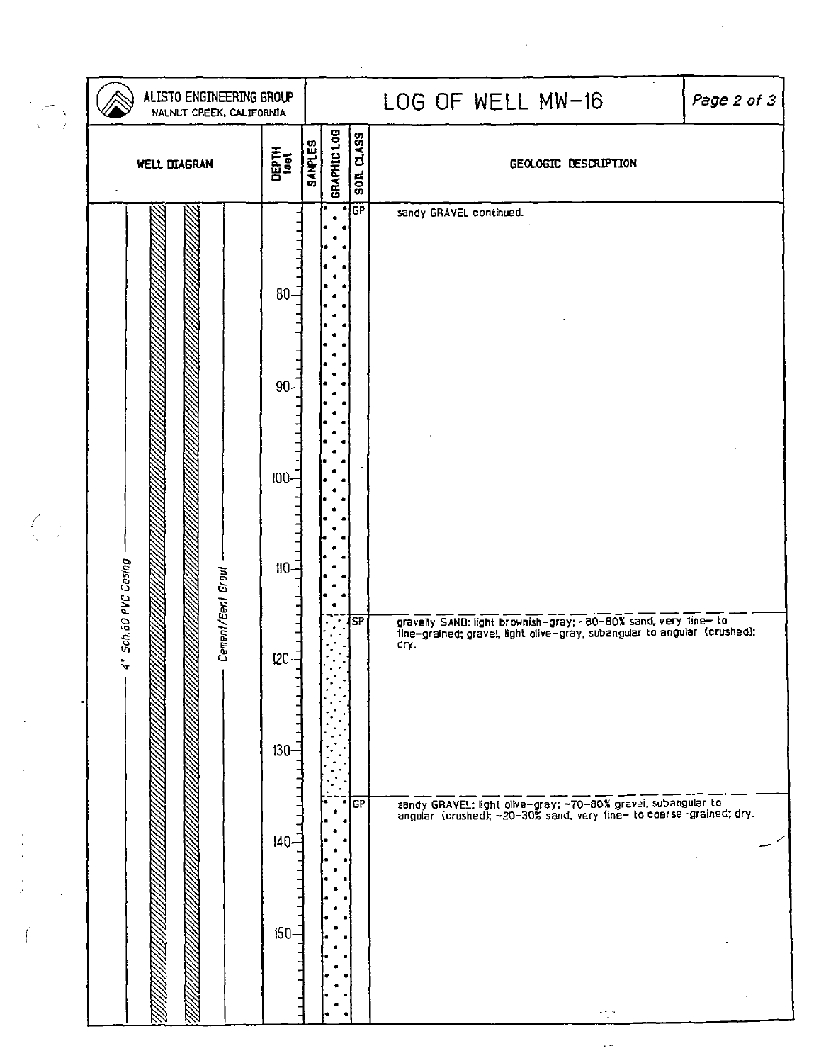| GRAPHIC LOG<br>SOIL CLASS<br><b>SANPLES</b><br>DEPTH<br><sup>1881</sup><br><b>WELL DIAGRAM</b><br>GEOLOGIC DESCRIPTION<br>TGP<br>sandy GRAVEL continued.<br>$80-$<br>$90 -$<br>$100 -$<br>$\int_{\mathbb{R}^{n-1}}$<br>Sch. 80 PVC Casing<br>$110-$<br>Cement/Bent Grout<br>∫ऽP<br>dry.<br>120 | ALISTO ENGINEERING GROUP<br>WALNUT CREEK, CALIFORNIA<br>$\lambda$<br>7 |  |  |  | LOG OF WELL MW-16<br>Page 2 of 3                                                                                                                                                                             |
|------------------------------------------------------------------------------------------------------------------------------------------------------------------------------------------------------------------------------------------------------------------------------------------------|------------------------------------------------------------------------|--|--|--|--------------------------------------------------------------------------------------------------------------------------------------------------------------------------------------------------------------|
|                                                                                                                                                                                                                                                                                                |                                                                        |  |  |  |                                                                                                                                                                                                              |
| $130 -$<br> GP<br>$140 -$                                                                                                                                                                                                                                                                      |                                                                        |  |  |  | gravelly SAND: light brownish-gray; ~80-80% sand, very fine- to<br>tine-grained; gravel, light olive-gray, subangular to angular (crushed);<br>sandy GRAVEL: light olive-gray; ~70-80% gravel, subangular to |

 $\mathcal{L}_{\mathcal{B}}$  .

 $\mathcal{L}^{\text{max}}_{\text{max}}$  ,  $\mathcal{L}^{\text{max}}_{\text{max}}$ 

 $\label{eq:2} \frac{1}{\sqrt{2}}\int_0^1\frac{1}{\sqrt{2}}\left(\frac{1}{\sqrt{2}}\right)^2\left(\frac{1}{\sqrt{2}}\right)^2\left(\frac{1}{\sqrt{2}}\right)^2\left(\frac{1}{\sqrt{2}}\right)^2\left(\frac{1}{\sqrt{2}}\right)^2.$